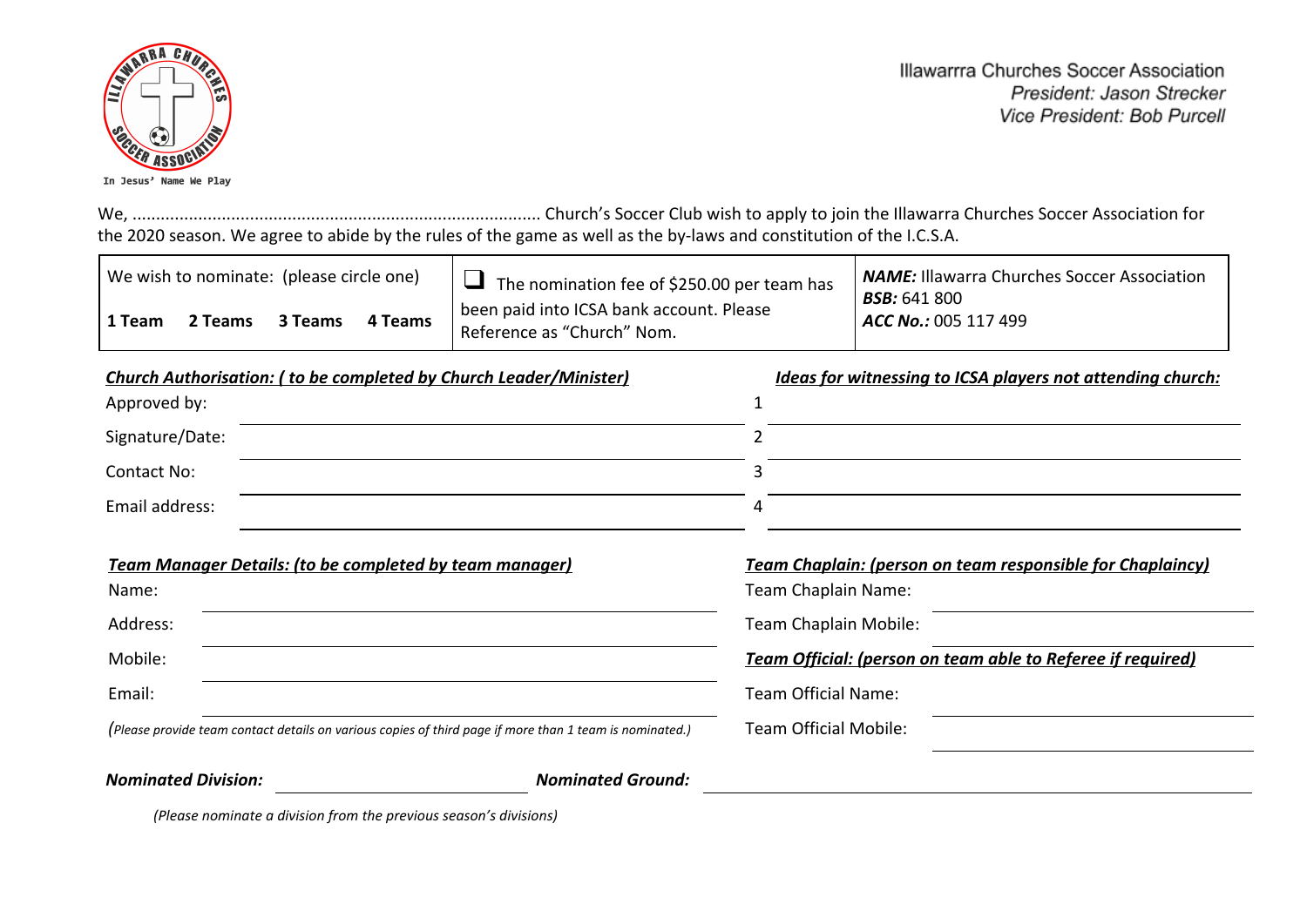

Illawarrra Churches Soccer Association President: Jason Strecker Vice President: Bob Purcell

We, ....................................................................................... Church's Soccer Club wish to apply to join the Illawarra Churches Soccer Association for the 2020 season. We agree to abide by the rules of the game as well as the by-laws and constitution of the I.C.S.A.

| We wish to nominate: (please circle one) |         |         |         | │ □ The nomination fee of \$250.00 per team has                        | <b>NAME:</b> Illawarra Churches Soccer Association |
|------------------------------------------|---------|---------|---------|------------------------------------------------------------------------|----------------------------------------------------|
| 1 Team                                   | 2 Teams | 3 Teams | 4 Teams | been paid into ICSA bank account. Please<br>Reference as "Church" Nom. | <b>BSB:</b> 641 800<br>ACC No.: 005 117 499        |

| <b>Church Authorisation: (to be completed by Church Leader/Minister)</b> | <u>Ideas for witnessing to ICSA players not attending church:</u> |
|--------------------------------------------------------------------------|-------------------------------------------------------------------|
| Approved by:                                                             |                                                                   |
| Signature/Date:                                                          |                                                                   |
| Contact No:                                                              |                                                                   |
| Email address:                                                           |                                                                   |

| <b>Team Manager Details: (to be completed by team manager)</b>                                          | <b>Team Chaplain: (person on team responsible for Chaplaincy)</b> |
|---------------------------------------------------------------------------------------------------------|-------------------------------------------------------------------|
| Name:                                                                                                   | Team Chaplain Name:                                               |
| Address:                                                                                                | Team Chaplain Mobile:                                             |
| Mobile:                                                                                                 | Team Official: (person on team able to Referee if required)       |
| Email:                                                                                                  | Team Official Name:                                               |
| (Please provide team contact details on various copies of third page if more than 1 team is nominated.) | Team Official Mobile:                                             |

*Nominated Division: Nominated Ground:*

*(Please nominate a division from the previous season's divisions)*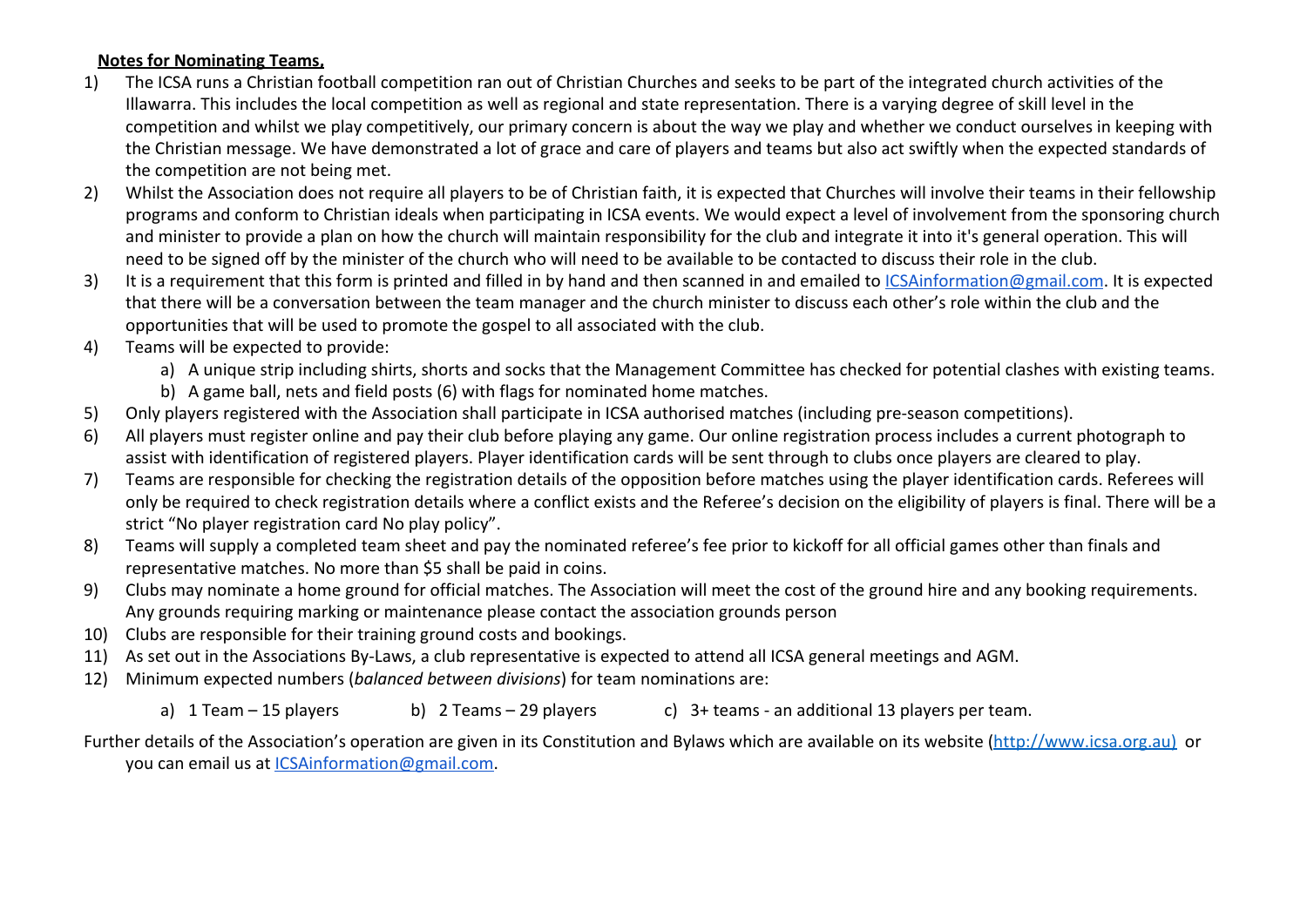## **Notes for Nominating Teams,**

- 1) The ICSA runs a Christian football competition ran out of Christian Churches and seeks to be part of the integrated church activities of the Illawarra. This includes the local competition as well as regional and state representation. There is a varying degree of skill level in the competition and whilst we play competitively, our primary concern is about the way we play and whether we conduct ourselves in keeping with the Christian message. We have demonstrated a lot of grace and care of players and teams but also act swiftly when the expected standards of the competition are not being met.
- 2) Whilst the Association does not require all players to be of Christian faith, it is expected that Churches will involve their teams in their fellowship programs and conform to Christian ideals when participating in ICSA events. We would expect a level of involvement from the sponsoring church and minister to provide a plan on how the church will maintain responsibility for the club and integrate it into it's general operation. This will need to be signed off by the minister of the church who will need to be available to be contacted to discuss their role in the club.
- 3) It is a requirement that this form is printed and filled in by hand and then scanned in and emailed to [ICSAinformation@gmail.com.](mailto:ICSAinformation@gmail.com) It is expected that there will be a conversation between the team manager and the church minister to discuss each other's role within the club and the opportunities that will be used to promote the gospel to all associated with the club.
- 4) Teams will be expected to provide:
	- a) A unique strip including shirts, shorts and socks that the Management Committee has checked for potential clashes with existing teams.
	- b) A game ball, nets and field posts (6) with flags for nominated home matches.
- 5) Only players registered with the Association shall participate in ICSA authorised matches (including pre-season competitions).
- 6) All players must register online and pay their club before playing any game. Our online registration process includes a current photograph to assist with identification of registered players. Player identification cards will be sent through to clubs once players are cleared to play.
- 7) Teams are responsible for checking the registration details of the opposition before matches using the player identification cards. Referees will only be required to check registration details where a conflict exists and the Referee's decision on the eligibility of players is final. There will be a strict "No player registration card No play policy".
- 8) Teams will supply a completed team sheet and pay the nominated referee's fee prior to kickoff for all official games other than finals and representative matches. No more than \$5 shall be paid in coins.
- 9) Clubs may nominate a home ground for official matches. The Association will meet the cost of the ground hire and any booking requirements. Any grounds requiring marking or maintenance please contact the association grounds person
- 10) Clubs are responsible for their training ground costs and bookings.
- 11) As set out in the Associations By-Laws, a club representative is expected to attend all ICSA general meetings and AGM.
- 12) Minimum expected numbers (*balanced between divisions*) for team nominations are:

a) 1 Team – 15 players b) 2 Teams – 29 players c) 3+ teams - an additional 13 players per team.

Further details of the Association's operation are given in its Constitution and Bylaws which are available on its website (http://www.icsa.org.au) or you can email us at [ICSAinformation@gmail.com.](mailto:ICSAinformation@gmail.com)